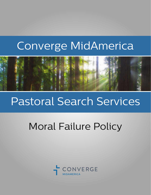# Converge MidAmerica



# Pastoral Search Services

# Moral Failure Policy

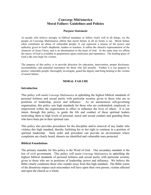# **Converge MidAmerica Moral Failure: Guidelines and Policies**

#### **Purpose Statement**

As people who believe strongly in biblical mandates to follow God's will in all things, we the people of Converge MidAmerica affirm that moral failure in all its forms is sin. Moral failure often constitutes an abuse of vulnerable people. It can represent a misuse of the power and authority given to God's shepherds, leaders or teachers. It sullies the church's representation of the character of Jesus Christ, and is an abomination to the heart of God. At the same time we affirm the mercy of God is available to perpetrators upon confession and repentance. The healing grace of God is the sure hope for victims.

The purpose of this policy is to provide direction for education, intervention, proper disclosure, accountability, and potential restoration for those who fail morally. Further it is our purpose to protect vulnerable people, thoroughly investigate, guard the dignity and bring healing to the victims of moral failure.

# **MORAL FAILURE**

#### **Introduction**

This policy will assist Converge MidAmerica in upholding the highest biblical standards of personal holiness and sexual purity with particular scrutiny given to those who are in positions of leadership, power and influence. As an autonomous self-governing organization, this policy sets high standards for those who are credentialed, employed, or empowered within the organization to effect or influence the lives of others. It is our intent, through this policy, to guide the life and conduct of these spiritual leaders motivating them to high levels of personal, moral and sexual conduct and guarding those who have been put in their spiritual care.

This policy also provides procedures for the discipline and/or removal of any leader who violates this high standard, thereby forfeiting his or her right to continue in a position of spiritual leadership. Such order and procedure can provide an environment where complaints are clearly heard, abusers are identified and vulnerable ones protected.

#### **Biblical Foundations**

The primary mandate for this policy is the Word of God. Our secondary mandate is the law of civil government. This policy will assist Converge MidAmerica in upholding the highest biblical standards of personal holiness and sexual purity with particular scrutiny given to those who are in positions of leadership, power and influence. We believe the Bible clearly condemns those who wander away from this high standard. The Bible warns of the disastrous impact such misconduct will have upon their own person, victims affected and upon the church as a whole.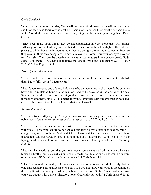# *God's Standard*

"You shall not commit murder, You shall not commit adultery, you shall not steal, you shall not bear false testimony against your neighbor. You shall not covet your neighbor's wife. You shall not set your desire on . . . anything that belongs to your neighbor." Deut. 5:17-21

"They pour abuse upon things they do not understand; like the beast they will perish, suffering hurt for the hurt they have inflicted. To carouse in broad daylight is their idea of pleasure; while they sit with you at table they are an ugly blot on your company, because they revel in their own deceptions. They have eyes for nothing but women, eyes never at rest from sin. They lure the unstable to their ruin; past masters in mercenary greed, God's curse is on them! They have abandoned the straight road and lost their way." II Peter 2:12b-15 New English Bible

# *Jesus Upholds the Standard*

"Do not think I have come to abolish the Law or the Prophets; I have come not to abolish them but to fulfill them." Matthew 5:17

"But if anyone causes one of these little ones who believe in me to sin, it would be better to have a large millstone hung around his neck and to be drowned in the depths of the sea. Woe to the world because of the things that cause people to sin! . . .woe to the man through whom they come!. . . It is better for you to enter life with one eye than to have two eyes and be thrown into the fire of hell. Matthew 18:6-9(Selected)

#### *Apostle Paul Instructs*

"Here is a trustworthy saying: 'If anyone sets his heart on being an overseer, he desires a noble task. Now the overseer must be above reproach . . . " I Timothy 3:1,2a

"Do not entertain an accusation against an elder unless it is brought by two or three witnesses. Those who sin are to be rebuked publicly, so that others may take warning. I charge you, in the sight of God and Christ Jesus and the elect angels, to keep these instructions without partiality, and to do nothing out of favoritism. Do not be hasty in the laying on of hands and do not share in the sins of others. Keep yourself pure. I Timothy 5:19-22

"But now I am writing you that you must not associate yourself with anyone who calls himself a brother but is sexually immoral or greedy, an idolater or a slanderer, a drunkard or a swindler. With such a man do not even eat." I Corinthians 5:11

"Flee from sexual immorality. All other sins a man commits are outside his body, but he who sins sexually sins against his own body. Do you not know your body is the temple of the Holy Spirit, who is in you, whom you have received from God? You are not your own; you were bought with a price. Therefore honor God with your body." I Corinthians 6:18-20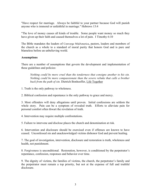"Have respect for marriage. Always be faithful to your partner because God will punish anyone who is immoral or unfaithful in marriage." Hebrews 13:4

"The love of money causes all kinds of trouble. Some people want money so much they have given up their faith and caused themselves a lot of pain. I Timothy 6:10

The Bible mandates the leaders of Converge MidAmerica, pastors, leaders and members of the church as a whole to a standard of moral purity that honors God and is pure and blameless before an unbelieving world.

# **Assumptions**

There are a number of assumptions that govern the development and implementation of these guidelines and policies:

*Nothing could be more cruel than the tenderness that consigns another to his sin. Nothing could be more compassionate than the severe rebuke that calls a brother back from the path of sin.* Dietrich Bonhoeffer, Life Together

1. Truth is the only pathway to wholeness.

2. Biblical confession and repentance is the only pathway to grace and mercy.

3. Most offenders will deny allegations until proven. Initial confessions are seldom the whole story. Pain can be a symptom of revealed truth. Efforts to alleviate pain for personal comfort often thwart the revelation of truth.

4. Intervention may require multiple confrontations.

5. Failure to intervene and disclose places the church and denomination at risk.

6. Intervention and disclosure should be exercised even if offenses are known to have ceased. Unconfessed sin and unacknowledged victims dishonor God and prevent healing.

7. The goal of investigation, intervention, disclosure and restoration is truth, wholeness and health, not punishment.

8. Forgiveness is unconditional. Restoration, however, is conditioned by the perpetrator's repentance, confession, responses and behavior over time.

9. The dignity of victims, the families of victims, the church, the perpetrator's family and the perpetrator must remain a top priority, but not at the expense of full and truthful disclosure.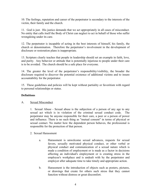10. The feelings, reputation and career of the perpetrator is secondary to the interests of the victim, their family and the church.

11. God is just. His justice demands that we act appropriately in all cases of misconduct. No entity that calls itself the Body of Christ can neglect to act in behalf of those who suffer wrongdoing under its care.

12. The perpetrator is incapable of acting in the best interests of himself, his family, the church or denomination. Therefore the perpetrator's involvement in the development of disclosure or restoration plans is inappropriate.

13. Scripture clearly teaches that people in leadership should set an example in faith, love, and purity. Any behavior or attitude that is potentially injurious to people under their care is to be avoided. The church should be a safe place for everyone.

14. The greater the level of the perpetrator's responsibility/visibility, the broader the disclosure required to discover the potential existence of additional victims and to insure accountability for the perpetrator.

15. These guidelines and policies will be kept without partiality or favoritism with regard to personal relationships or status.

# **Definitions**

# A. Sexual Misconduct

1. Sexual Abuse - Sexual abuse is the subjection of a person of any age to any sexual act which is in violation of the criminal sexual conduct code. The perpetrator may be anyone responsible for their care, a peer or a person of power and influence. There is no such thing as "mutual consent" in terms of physical or sexual contact. No matter how the dependent person behaves, the professional is responsible for the protection of that person.

- 2. Sexual Harassment
	- a. Harassment is unwelcome sexual advances, requests for sexual favors, sexually motivated physical conduct, or other verbal or physical conduct and communication of a sexual nature which is made a condition of employment or is made as a factor in decisions affecting an individual's employment or is creating stress in the employee's workplace and is undealt with by the perpetrator and employer after adequate time to take timely and appropriate action.
	- b. Harassment is the introduction of objects such as posters, pictures, or drawings that create for others such stress that they cannot function without distress or great discomfort.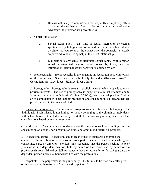- c. Harassment is any communication that explicitly or implicitly offers or invites the exchange of sexual favors for a promise of some advantage the promisor has power to give.
- 3. Sexual Exploitation
	- a. Sexual Exploitation is any kind of sexual interaction between a spiritual or psychological counselor and the client (whether initiated by either the counselor or the client) when the counselor is clearly empowered to be offering help in the client relationship.
	- b. Exploitation is any actual or attempted sexual contact with a minor; actual or attempted rape or sexual contact by force, threat or intimidation; criminal sexual behavior as defined by law.

4. Homosexuality - Homosexuality is the engaging in sexual relations with others of the same sex. Such behavior is biblically forbidden (Romans 1:26-27, 1 Corinthians 6:9-1, Leviticus 18:22, Leviticus 20:13)

5. Pornography - Pornography is sexually explicit material which appeals to one's prurient interests. The use of pornography is inappropriate in that it tempts one to "commit adultery in one's heart (Matthew 5:27-28); can create a dependent fixation on or compulsion with sex; and its production and consumption exploit and demean people created in the image of God.

B. Financial Improprieties. The misuse or misappropriation of funds not belonging to the individual. Such misuse is not limited to money belonging to the church or individuals within the church. It includes not only overt theft but securing money, loans or other considerations based on misrepresentation.

C. Addictions. The compulsive bondage to specific behaviors such as gambling, sex, the consumption of alcohol, non-prescription drugs and other mood-altering substances.

D. Professional Ethics. Professional ethics are the rules or standards governing the conduct of the members of a profession. Any pastor or church staff person who gives counseling, care, or direction to others must recognize that the person seeking help or guidance is in a dependent position, both by nature of their need, and by nature of the professional's role. Ethical guidelines mandate that the responsibility for safeguarding the dependent person's personal boundaries lies with the professional

E. Perpetrator. The perpetrator is the guilty party. This term is to be used only after proof of misconduct. Otherwise, use "the alleged perpetrator".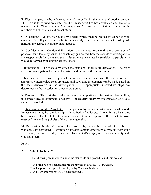F. Victim. A person who is harmed or made to suffer by the actions of another person. This term is to be used only after proof of misconduct has been evaluated and decisions made about it. Otherwise, use "the complainant." Secondary victims include family members of both victims and perpetrators.

G. Allegations. An assertion made by a party which must be proved or supported with evidence. All allegations are to be taken seriously. Care should be taken to distinguish honestly the degree of certainty in all reports.

H. Confidentiality. Confidentiality refers to statements made with the expectation of privacy. Confidentiality cannot be absolutely guaranteed, because records of investigations are subpoeneable by court systems. Nevertheless we must be sensitive to people who would be harmed by inappropriate disclosure.

I. Investigation. The process by which the facts and the truth are discovered. The early stages of investigation determine the nature and timing of the intervention.

J. Intervention. The process by which the accused is confronted with the accusations and appropriate intermediate steps are taken until such time as judgment can be made based on the facts discovered in the investigation. The appropriate intermediate steps are determined as the investigation process progresses.

K. Disclosure. The desirable confession is revealing pertinent information. Truth-telling in a grace-filled environment is healthy. Unnecessary injury by dissemination of details should be avoided.

L. Restoration for the Perpetrator. The process by which reinstatement is addressed. Reinstatement may be to fellowship with the body of believers. It may, in rare instances, be to position. The level of restoration is dependent on the response of the perpetrator over extended time and the policies of the governing entity.

M. Restoration for the Victim(s). The process by which the renewal of health and wholeness are addressed. Restoration addresses (among other things) freedom from guilt and shame; renewal of ability to see ourselves in God's image; and relational vitality with God and others.

# **Policy**

# **A. Who Is Included?**

The following are included under the standards and procedures of this policy:

- 1. All ordained or licensed people employed by Converge MidAmerica.
- 2. All support staff people employed by Converge MidAmerica.
- 3. All Converge MidAmerica Board members.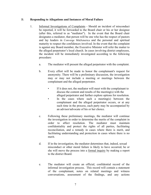# B. **Responding to Allegations and Instances of Moral Failure**

- 1. Informal Investigations of Complaints Should an incident of misconduct be reported, it will be forwarded to the Board chair or his or her designee (after this, referred to as "mediator"). In the event that the Board chair designates a mediator, that person will be one who has the respect of pastors and lay leaders in Converge MidAmerica and the personal and spiritual maturity to respect the confidences involved. In the event that the complaint is against any Board member, the Executive Minister will refer the matter to the alleged perpetrator's local church. In cases involving district employees, the incident will be immediately investigated according to the following procedure:
	- a. The mediator will present the alleged perpetrator with the complaint.
	- b. Every effort will be made to honor the complainant's request for anonymity. There will be a preliminary discussion, the investigation may or may not include a meeting or meetings between the complainant and the alleged perpetrator.
		- If it does not, the mediator will meet with the complainant to discuss the content and results of the meeting(s) with the alleged perpetrator and further explore options for resolution.
		- In the cases where such a meeting(s) between the complainant and the alleged perpetrator occurs, or at any such time in the process, each party may be accompanied by an advisor/advocate of his or her choice.
	- c. Following these preliminary meetings, the mediator will continue the investigation in order to determine the merits of the complaint in order to affect resolution. The mediator must maintain confidentiality and protect the rights of all parties, facilitating reconciliation, and a remedy in cases where there is merit, and facilitating understanding and protection in cases where there is no merit.
	- d. If in the investigation, the mediator determines that, indeed, sexual misconduct or other moral failure is likely to have occurred, he or she will move the process into a formal inquiry by making a report to the district Board.
	- e. The mediator will create an official, confidential record of the informal investigation process. This record will contain a statement of the complainant, notes on related meetings and witness conversations, assessment of the findings, and any actions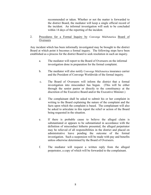recommended or taken. Whether or not the matter is forwarded to the district Board, the mediator will keep a single official record of the incident. An informal investigation will seek to be concluded within 14 days of the reporting of the incident.

2. Procedures for a Formal Inquiry by Converge MidAmerica Board of **Overseers** 

Any incident which has been informally investigated may be brought to the district Board at which point it becomes a formal inquiry. The following steps have been established as a process for the district Board to seek resolution in such an inquiry.

- a. The mediator will report to the Board of Overseers on the informal investigation done in preparation for the formal complaint.
- b. The mediator will also notify Converge MidAmerica insurance carrier and the President of Converge Worldwide of the formal inquiry.
- c. The Board of Overseers will inform the district that a formal investigation into misconduct has begun. (This will be either through the senior pastor or directly to the constituency at the discretion of the Executive Board and/or the Executive Minister.)
- d. The complainant shall be asked to submit his or her complaint in writing to the Board explaining the nature of the complaint and the facts upon which the complaint is based. The complainant will also be asked to articulate in this report the relief or action of the Board being requested in the situation.
- e. If there is probable cause to believe the alleged claim is substantiated or appears to be substantiated in accordance with the definition of misconduct hitherto presented, the alleged perpetrator may be relieved of all responsibilities in the district and placed on administrative leave pending the outcome of the formal investigation. Such a suspension will be made with pay and benefits unless otherwise determined by the Board of Overseers.
- f. The mediator will request a written reply from the alleged perpetrator, a copy of which will be forwarded to the complainant.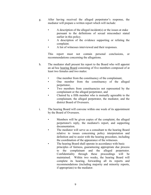- g. After having received the alleged perpetrator's response, the mediator will prepare a written report which will include:
	- A description of the alleged incident(s) or the issues at stake pursuant to the definitions of sexual misconduct stated earlier in this policy.
	- A description of the evidence supporting or refuting the complaint.
	- A list of witnesses interviewed and their responses.

This report must not contain personal conclusions, or recommendations concerning the allegations.

- h. The mediator shall present his report to the Board who will appoint an ad hoc hearing Board consisting of five members composed of at least two females and two males:
	- One member from the constituency of the complainant,
	- One member from the constituency of the alleged perpetrator,
	- Two members from constituencies not represented by the complainant or the alleged perpetrator, and
	- Chaired by a fifth member who is mutually agreeable to the complainant, the alleged perpetrator, the mediator, and the district Board of Overseers.
- i. The hearing Board will convene within one week of its appointment by the Board of Overseers.
	- Members will be given copies of the complaint, the alleged perpetrator's reply, the mediator's report, and supporting documentation.
	- The mediator will serve as a consultant to the hearing Board relative to issues concerning policy interpretation and definition and to assist with the hearing procedure, including the coordination of the appearance of the witnesses.
	- The hearing Board shall operate in accordance with basic principles of fairness, guaranteeing appropriate due process to the complainant and the alleged perpetrator. Confidentiality through these proceedings will be maintained. Within two weeks, the hearing Board will complete its hearing, forwarding all its reports and recommendations (including majority and minority reports, if appropriate) to the mediator.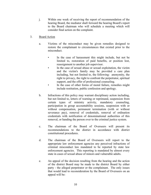j. Within one week of receiving the report of recommendation of the hearing Board, the mediator shall forward the hearing Board's report to the Board chairman who will schedule a meeting which will consider final action on the complaint.

# 3. Board Action

- a. Victims of the misconduct may be given remedies designed to restore the complainant to circumstances that existed prior to the misconduct.
	- In the case of harassment this might include, but not be limited to, restoration of paid benefits, or position lost, reassignment to another job supervisor.
	- In the case of sexual abuse or sexual exploitation, the victim and the victim's family may be provided a care plan including, but not limited to, the following: anonymity, the right to privacy, the right to confront the perpetrator, spiritual support, and the offer of professional counseling.
	- In the case of other forms of moral failure, remedies might include restitution, public confession and apology.
- b. Infractions of this policy may warrant disciplinary action including, but not limited to, letters of warning or reprimand, suspension from certain types of ministry activity, mandatory counseling, participation in group accountability sessions, suspension with or without compensation, permanent termination (with or without severance pay), removal of credentials, removal of ordination credentials with notification of denominational authorities of this removal, or handing the person over to the criminal justice system.
- c. The chairman of the Board of Overseers will present its recommendations to the district in accordance with district constitutional procedures.
- d. The chairman of the Board of Overseers will report to the appropriate law enforcement agencies any perceived infractions of criminal misconduct law mandated to be reported by state law enforcement agencies. This reporting is mandated by almost every state in cases of sexual abuse of minors and vulnerable adults.
- e. An appeal of the decision resulting from the hearing and the action of the district Board may be made to the district Board by either party - the alleged perpetrator or the complainant. The only issues that would lead to reconsideration by the Board of Overseers on an appeal will be: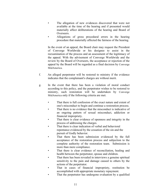- The allegation of new evidences discovered that were not available at the time of the hearing and if presented would materially affect deliberations of the hearing and Board of Overseers.
- Allegations of gross procedural errors in the hearing procedure that materially affected the fairness of the hearing.

In the event of an appeal, the Board chair may request the President of Converge Worldwide or his designee to assist in the reexamination of the process and an assessment of the legitimacy of the appeal. With the advisement of Converge Worldwide and the review by the Board of Overseers, the acceptance or rejection of the appeal by the Board will be regarded as a final decision by Converge MidAmerica.

- f. An alleged perpetrator will be restored to ministry if the evidence indicates that the complainant's charges are without merit.
- g. In the event that there has been a violation of moral conduct according to this policy, and the perpetrator wishes to be restored to ministry, such restoration will be undertaken by Converge MidAmerica only if the following criteria are met.
	- That there is full confession of the exact nature and extent of one's misconduct to begin and continue a restoration process.
	- That there is no evidence that the misconduct is indicative of an ongoing pattern of sexual misconduct, addiction or financial impropriety.
	- That there is clear evidence of openness and integrity in the process of addressing the charges.
	- That there is clear indication of verbal and behavioral repentance evidenced by the cessation of the sin and the pursuit of Godly behavior.
	- That there has been submission evidenced by the full acceptance of the restoration process and subjection to the complete authority of the restoration team. Submission is more than mere compliance.
	- That there is clear evidence of reconciliation, healing and health between the perpetrator, spouse and children.
	- That there has been revealed in interviews a genuine spiritual sensitivity to the pain and damage caused to others by the actions of the perpetrator.
	- That in cases of financial impropriety, restitution be accomplished with appropriate monetary repayment.
	- That the perpetrator has undergone evaluation by a qualified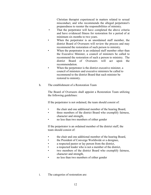Christian therapist experienced in matters related to sexual misconduct, and who recommends the alleged perpetrator's preparedness to reenter the responsibilities of ministry.

- That the perpetrator will have completed the above criteria and have evidenced fitness for restoration for a period of at minimum six months to two years.
- When the perpetrator is an unordained staff member, the district Board of Overseers will review the process and may recommend the restoration of such person to ministry.
- When the perpetrator is an ordained staff member other than the Executive Minister, a council of ministers be called to recommend the restoration of such a person to ministry. The district Board of Overseers will act upon the recommendation.
- When the perpetrator is the district executive minister, a council of ministers and executive ministers be called to recommend to the district Board that such minister be restored to ministry.
- h. The establishment of a Restoration Team

The Board of Overseers shall appoint a Restoration Team utilizing the following guidelines:

If the perpetrator is not ordained, the team should consist of:

- the chair and one additional member of the hearing Board,
- three members of the district Board who exemplify fairness, character and strength,
- no less than two members of either gender

If the perpetrator is an ordained member of the district staff, the team should consist of:

- the chair and one additional member of the hearing Board,
- the President of Converge Worldwide or a designee,
- a respected pastor or lay person from the district,
- a respected leader who is not a member of the district,
- two members of the district Board who exemplify fairness, character and strength,
- no less than two members of either gender
- i. The categories of restoration are: